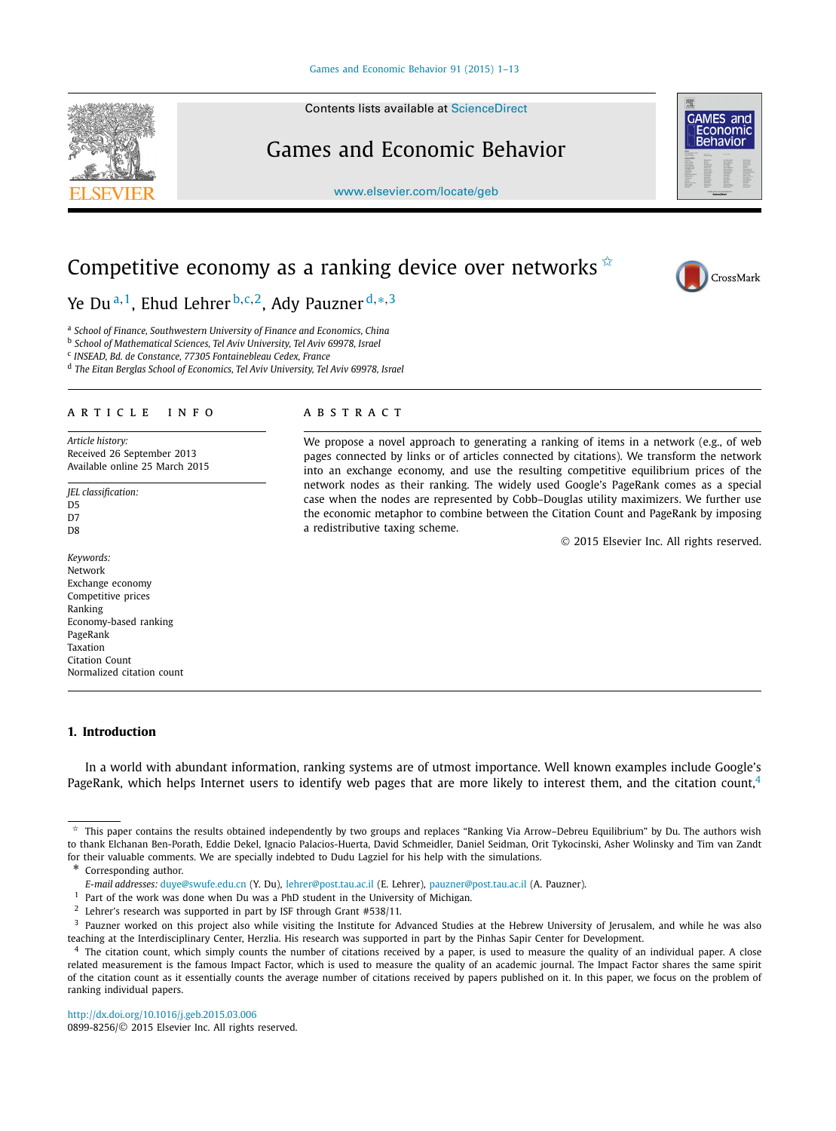Contents lists available at [ScienceDirect](http://www.ScienceDirect.com/)

## Games and Economic Behavior

[www.elsevier.com/locate/geb](http://www.elsevier.com/locate/geb)

# **GAMES** and conomic

## Competitive economy as a ranking device over networks  $\dot{\mathbf{x}}$

## Ye Du <sup>a</sup>*,*1, Ehud Lehrer <sup>b</sup>*,*c*,*2, Ady Pauzner <sup>d</sup>*,*∗*,*<sup>3</sup>

<sup>a</sup> *School of Finance, Southwestern University of Finance and Economics, China*

<sup>b</sup> *School of Mathematical Sciences, Tel Aviv University, Tel Aviv 69978, Israel*

<sup>c</sup> *INSEAD, Bd. de Constance, 77305 Fontainebleau Cedex, France*

<sup>d</sup> *The Eitan Berglas School of Economics, Tel Aviv University, Tel Aviv 69978, Israel*

#### A R T I C L E I N F O A B S T R A C T

*Article history:* Received 26 September 2013 Available online 25 March 2015

*JEL classification:* D<sub>5</sub> D<sub>7</sub> D<sub>8</sub>

*Keywords:* Network Exchange economy Competitive prices Ranking Economy-based ranking PageRank Taxation Citation Count Normalized citation count

#### **1. Introduction**

In a world with abundant information, ranking systems are of utmost importance. Well known examples include Google's PageRank, which helps Internet users to identify web pages that are more likely to interest them, and the citation count,  $4$ 

\* Corresponding author.

<sup>1</sup> Part of the work was done when Du was a PhD student in the University of Michigan.

<http://dx.doi.org/10.1016/j.geb.2015.03.006> 0899-8256/© 2015 Elsevier Inc. All rights reserved.

We propose a novel approach to generating a ranking of items in a network (e.g., of web pages connected by links or of articles connected by citations). We transform the network into an exchange economy, and use the resulting competitive equilibrium prices of the network nodes as their ranking. The widely used Google's PageRank comes as a special case when the nodes are represented by Cobb–Douglas utility maximizers. We further use the economic metaphor to combine between the Citation Count and PageRank by imposing a redistributive taxing scheme.

© 2015 Elsevier Inc. All rights reserved.







 $*$  This paper contains the results obtained independently by two groups and replaces "Ranking Via Arrow–Debreu Equilibrium" by Du. The authors wish to thank Elchanan Ben-Porath, Eddie Dekel, Ignacio Palacios-Huerta, David Schmeidler, Daniel Seidman, Orit Tykocinski, Asher Wolinsky and Tim van Zandt for their valuable comments. We are specially indebted to Dudu Lagziel for his help with the simulations.

*E-mail addresses:* [duye@swufe.edu.cn](mailto:duye@swufe.edu.cn) (Y. Du), [lehrer@post.tau.ac.il](mailto:lehrer@post.tau.ac.il) (E. Lehrer), [pauzner@post.tau.ac.il](mailto:pauzner@post.tau.ac.il) (A. Pauzner).

<sup>2</sup> Lehrer's research was supported in part by ISF through Grant #538/11.

<sup>&</sup>lt;sup>3</sup> Pauzner worked on this project also while visiting the Institute for Advanced Studies at the Hebrew University of Jerusalem, and while he was also teaching at the Interdisciplinary Center, Herzlia. His research was supported in part by the Pinhas Sapir Center for Development.

<sup>&</sup>lt;sup>4</sup> The citation count, which simply counts the number of citations received by a paper, is used to measure the quality of an individual paper. A close related measurement is the famous Impact Factor, which is used to measure the quality of an academic journal. The Impact Factor shares the same spirit of the citation count as it essentially counts the average number of citations received by papers published on it. In this paper, we focus on the problem of ranking individual papers.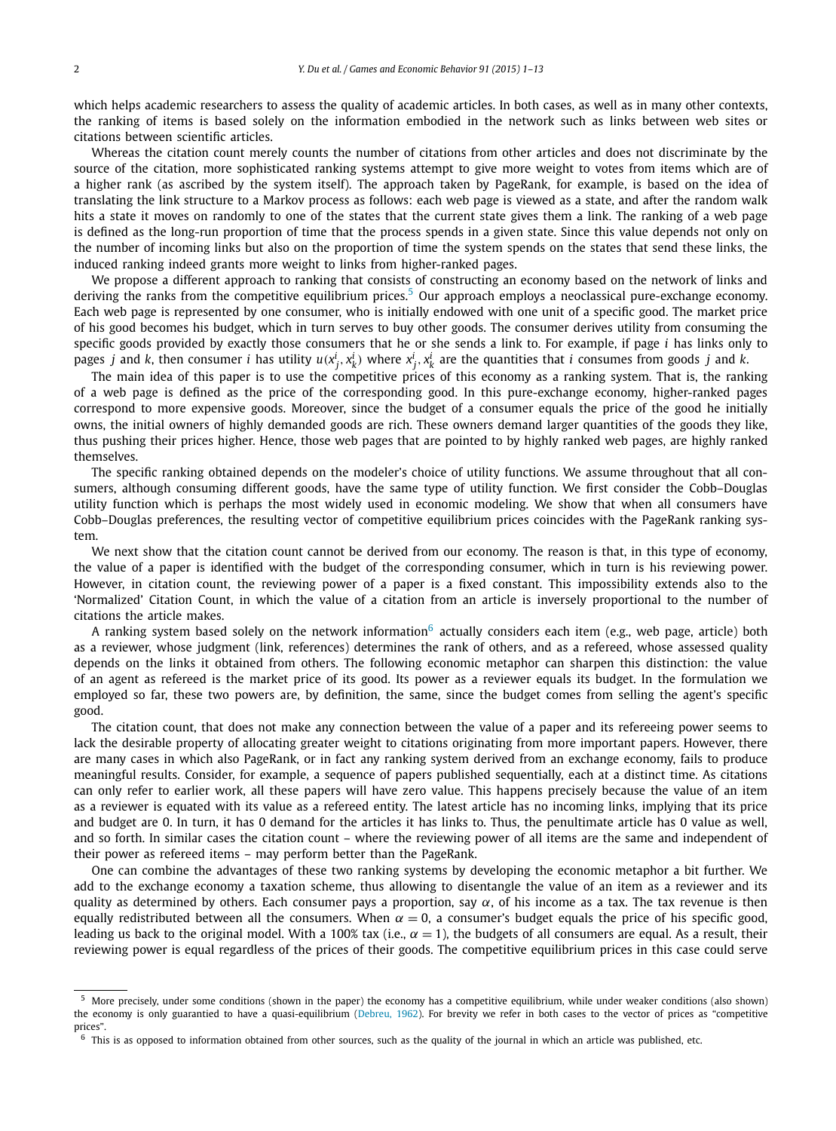which helps academic researchers to assess the quality of academic articles. In both cases, as well as in many other contexts, the ranking of items is based solely on the information embodied in the network such as links between web sites or citations between scientific articles.

Whereas the citation count merely counts the number of citations from other articles and does not discriminate by the source of the citation, more sophisticated ranking systems attempt to give more weight to votes from items which are of a higher rank (as ascribed by the system itself). The approach taken by PageRank, for example, is based on the idea of translating the link structure to a Markov process as follows: each web page is viewed as a state, and after the random walk hits a state it moves on randomly to one of the states that the current state gives them a link. The ranking of a web page is defined as the long-run proportion of time that the process spends in a given state. Since this value depends not only on the number of incoming links but also on the proportion of time the system spends on the states that send these links, the induced ranking indeed grants more weight to links from higher-ranked pages.

We propose a different approach to ranking that consists of constructing an economy based on the network of links and deriving the ranks from the competitive equilibrium prices.<sup>5</sup> Our approach employs a neoclassical pure-exchange economy. Each web page is represented by one consumer, who is initially endowed with one unit of a specific good. The market price of his good becomes his budget, which in turn serves to buy other goods. The consumer derives utility from consuming the specific goods provided by exactly those consumers that he or she sends a link to. For example, if page *i* has links only to pages j and k, then consumer i has utility  $u(x_j^i, x_k^i)$  where  $x_j^i, x_k^i$  are the quantities that i consumes from goods j and k.

The main idea of this paper is to use the competitive prices of this economy as a ranking system. That is, the ranking of a web page is defined as the price of the corresponding good. In this pure-exchange economy, higher-ranked pages correspond to more expensive goods. Moreover, since the budget of a consumer equals the price of the good he initially owns, the initial owners of highly demanded goods are rich. These owners demand larger quantities of the goods they like, thus pushing their prices higher. Hence, those web pages that are pointed to by highly ranked web pages, are highly ranked themselves.

The specific ranking obtained depends on the modeler's choice of utility functions. We assume throughout that all consumers, although consuming different goods, have the same type of utility function. We first consider the Cobb–Douglas utility function which is perhaps the most widely used in economic modeling. We show that when all consumers have Cobb–Douglas preferences, the resulting vector of competitive equilibrium prices coincides with the PageRank ranking system.

We next show that the citation count cannot be derived from our economy. The reason is that, in this type of economy, the value of a paper is identified with the budget of the corresponding consumer, which in turn is his reviewing power. However, in citation count, the reviewing power of a paper is a fixed constant. This impossibility extends also to the 'Normalized' Citation Count, in which the value of a citation from an article is inversely proportional to the number of citations the article makes.

A ranking system based solely on the network information<sup>6</sup> actually considers each item (e.g., web page, article) both as a reviewer, whose judgment (link, references) determines the rank of others, and as a refereed, whose assessed quality depends on the links it obtained from others. The following economic metaphor can sharpen this distinction: the value of an agent as refereed is the market price of its good. Its power as a reviewer equals its budget. In the formulation we employed so far, these two powers are, by definition, the same, since the budget comes from selling the agent's specific good.

The citation count, that does not make any connection between the value of a paper and its refereeing power seems to lack the desirable property of allocating greater weight to citations originating from more important papers. However, there are many cases in which also PageRank, or in fact any ranking system derived from an exchange economy, fails to produce meaningful results. Consider, for example, a sequence of papers published sequentially, each at a distinct time. As citations can only refer to earlier work, all these papers will have zero value. This happens precisely because the value of an item as a reviewer is equated with its value as a refereed entity. The latest article has no incoming links, implying that its price and budget are 0. In turn, it has 0 demand for the articles it has links to. Thus, the penultimate article has 0 value as well, and so forth. In similar cases the citation count – where the reviewing power of all items are the same and independent of their power as refereed items – may perform better than the PageRank.

One can combine the advantages of these two ranking systems by developing the economic metaphor a bit further. We add to the exchange economy a taxation scheme, thus allowing to disentangle the value of an item as a reviewer and its quality as determined by others. Each consumer pays a proportion, say  $\alpha$ , of his income as a tax. The tax revenue is then equally redistributed between all the consumers. When  $\alpha = 0$ , a consumer's budget equals the price of his specific good, leading us back to the original model. With a 100% tax (i.e.,  $\alpha = 1$ ), the budgets of all consumers are equal. As a result, their reviewing power is equal regardless of the prices of their goods. The competitive equilibrium prices in this case could serve

<sup>5</sup> More precisely, under some conditions (shown in the paper) the economy has a competitive equilibrium, while under weaker conditions (also shown) the economy is only guarantied to have a quasi-equilibrium [\(Debreu,](#page-12-0) 1962). For brevity we refer in both cases to the vector of prices as "competitive prices".

 $6$  This is as opposed to information obtained from other sources, such as the quality of the journal in which an article was published, etc.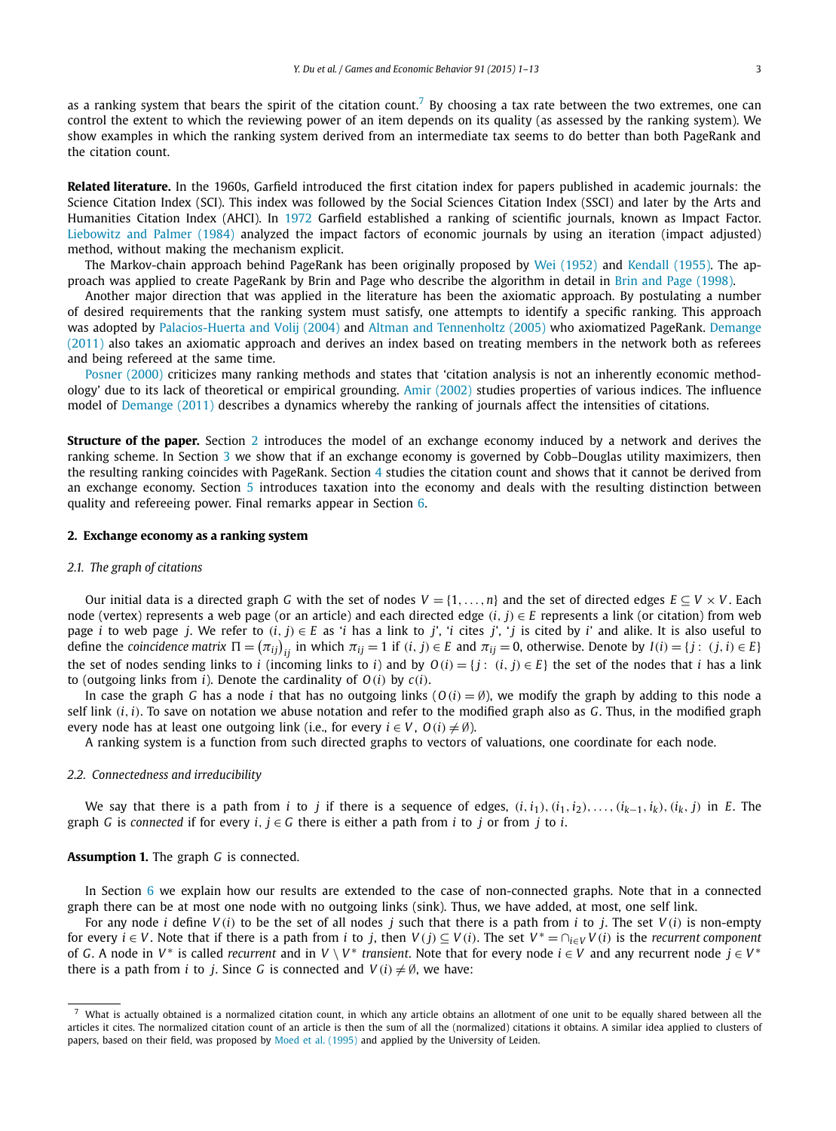as a ranking system that bears the spirit of the citation count.<sup>7</sup> By choosing a tax rate between the two extremes, one can control the extent to which the reviewing power of an item depends on its quality (as assessed by the ranking system). We show examples in which the ranking system derived from an intermediate tax seems to do better than both PageRank and the citation count.

**Related literature.** In the 1960s, Garfield introduced the first citation index for papers published in academic journals: the Science Citation Index (SCI). This index was followed by the Social Sciences Citation Index (SSCI) and later by the Arts and Humanities Citation Index (AHCI). In [1972](#page-12-0) Garfield established a ranking of scientific journals, known as Impact Factor. [Liebowitz](#page-12-0) and Palmer (1984) analyzed the impact factors of economic journals by using an iteration (impact adjusted) method, without making the mechanism explicit.

The Markov-chain approach behind PageRank has been originally proposed by Wei [\(1952\)](#page-12-0) and [Kendall \(1955\).](#page-12-0) The approach was applied to create PageRank by Brin and Page who describe the algorithm in detail in Brin and [Page \(1998\).](#page-11-0)

Another major direction that was applied in the literature has been the axiomatic approach. By postulating a number of desired requirements that the ranking system must satisfy, one attempts to identify a specific ranking. This approach was adopted by [Palacios-Huerta](#page-12-0) and Volij (2004) and Altman and [Tennenholtz](#page-11-0) (2005) who axiomatized PageRank. [Demange](#page-12-0) [\(2011\)](#page-12-0) also takes an axiomatic approach and derives an index based on treating members in the network both as referees and being refereed at the same time.

[Posner \(2000\)](#page-12-0) criticizes many ranking methods and states that 'citation analysis is not an inherently economic methodology' due to its lack of theoretical or empirical grounding. [Amir \(2002\)](#page-11-0) studies properties of various indices. The influence model of [Demange \(2011\)](#page-12-0) describes a dynamics whereby the ranking of journals affect the intensities of citations.

**Structure of the paper.** Section 2 introduces the model of an exchange economy induced by a network and derives the ranking scheme. In Section [3](#page-5-0) we show that if an exchange economy is governed by Cobb–Douglas utility maximizers, then the resulting ranking coincides with PageRank. Section [4](#page-6-0) studies the citation count and shows that it cannot be derived from an exchange economy. Section [5](#page-6-0) introduces taxation into the economy and deals with the resulting distinction between quality and refereeing power. Final remarks appear in Section [6.](#page-9-0)

#### **2. Exchange economy as a ranking system**

#### *2.1. The graph of citations*

Our initial data is a directed graph *G* with the set of nodes  $V = \{1, \ldots, n\}$  and the set of directed edges  $E \subseteq V \times V$ . Each node (vertex) represents a web page (or an article) and each directed edge  $(i, j) \in E$  represents a link (or citation) from web page *i* to web page *j*. We refer to  $(i, j) \in E$  as '*i* has a link to *j*', '*i* cites *j*', '*j* is cited by *i*' and alike. It is also useful to define the coincidence matrix  $\Pi = (\pi_{ij})_{ij}$  in which  $\pi_{ij} = 1$  if  $(i, j) \in E$  and  $\pi_{ij} = 0$ , otherwise. Denote by  $I(i) = \{j :~ (j, i) \in E\}$ the set of nodes sending links to *i* (incoming links to *i*) and by  $O(i) = \{j : (i, j) \in E\}$  the set of the nodes that *i* has a link to (outgoing links from *i*). Denote the cardinality of  $O(i)$  by  $c(i)$ .

In case the graph *G* has a node *i* that has no outgoing links  $(O(i) = \emptyset)$ , we modify the graph by adding to this node a self link *(i,i)*. To save on notation we abuse notation and refer to the modified graph also as *G*. Thus, in the modified graph every node has at least one outgoing link (i.e., for every  $i \in V$ ,  $O(i) \neq \emptyset$ ).

A ranking system is a function from such directed graphs to vectors of valuations, one coordinate for each node.

#### *2.2. Connectedness and irreducibility*

We say that there is a path from i to j if there is a sequence of edges,  $(i, i_1), (i_1, i_2), \ldots, (i_{k-1}, i_k), (i_k, j)$  in E. The graph *G* is *connected* if for every *i*,  $j \in G$  there is either a path from *i* to *j* or from *j* to *i*.

#### **Assumption 1.** The graph *G* is connected.

In Section [6](#page-9-0) we explain how our results are extended to the case of non-connected graphs. Note that in a connected graph there can be at most one node with no outgoing links (sink). Thus, we have added, at most, one self link.

For any node *i* define  $V(i)$  to be the set of all nodes *j* such that there is a path from *i* to *j*. The set  $V(i)$  is non-empty for every  $i \in V$ . Note that if there is a path from i to j, then  $V(j) \subseteq V(i)$ . The set  $V^* = \bigcap_{i \in V} V(i)$  is the recurrent component of *G*. A node in  $V^*$  is called *recurrent* and in  $V \setminus V^*$  *transient*. Note that for every node  $i \in V$  and any recurrent node  $j \in V^*$ there is a path from *i* to *j*. Since *G* is connected and  $V(i) \neq \emptyset$ , we have:

 $<sup>7</sup>$  What is actually obtained is a normalized citation count, in which any article obtains an allotment of one unit to be equally shared between all the</sup> articles it cites. The normalized citation count of an article is then the sum of all the (normalized) citations it obtains. A similar idea applied to clusters of papers, based on their field, was proposed by Moed et [al. \(1995\)](#page-12-0) and applied by the University of Leiden.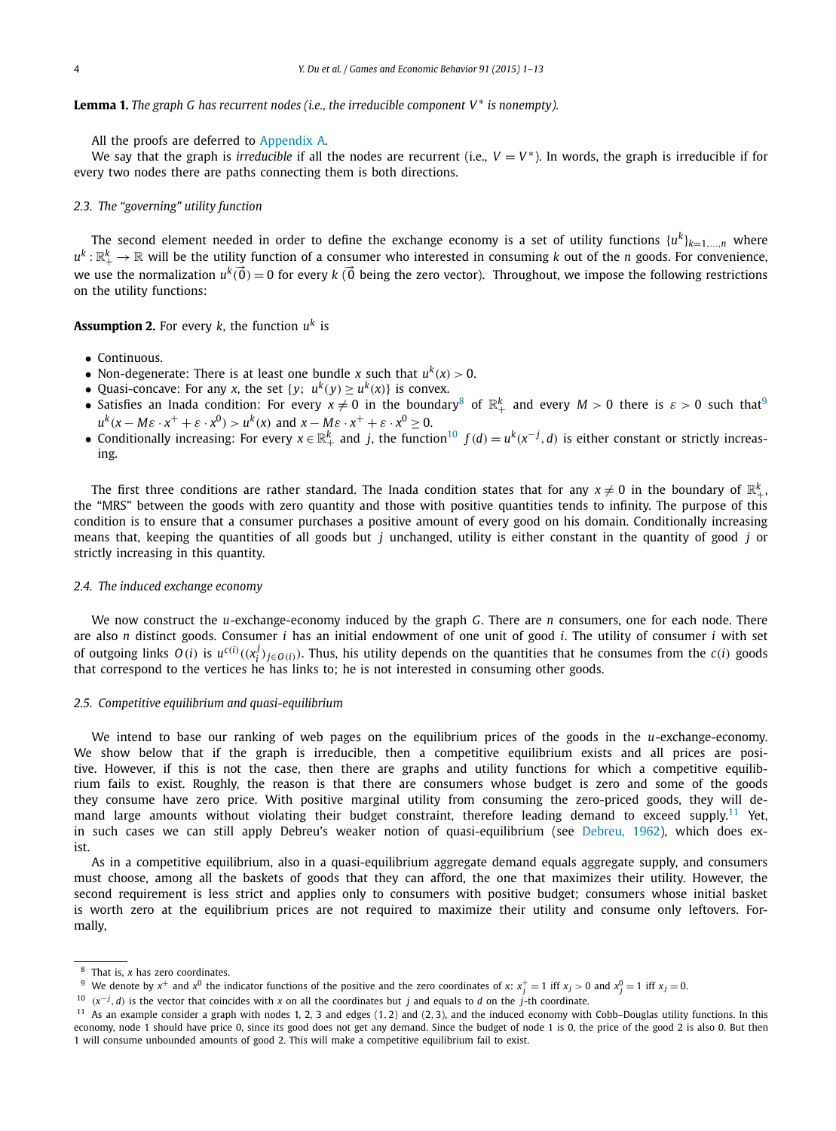### <span id="page-3-0"></span>**Lemma 1.** *The graph G has recurrent nodes (i.e., the irreducible component V* <sup>∗</sup> *is nonempty).*

All the proofs are deferred to [Appendix A.](#page-9-0)

We say that the graph is *irreducible* if all the nodes are recurrent (i.e.,  $V = V^*$ ). In words, the graph is irreducible if for every two nodes there are paths connecting them is both directions.

#### *2.3. The "governing" utility function*

The second element needed in order to define the exchange economy is a set of utility functions  ${u^k}_{k=1,\ldots,n}$  where  $u^k:\mathbb{R}^k_+\to\mathbb{R}$  will be the utility function of a consumer who interested in consuming  $k$  out of the  $n$  goods. For convenience, we use the normalization  $u^k(\vec{0}) = 0$  for every  $k(\vec{0})$  being the zero vector). Throughout, we impose the following restrictions on the utility functions:

#### **Assumption 2.** For every *k*, the function  $u^k$  is

- Continuous.
- Non-degenerate: There is at least one bundle *x* such that  $u^{k}(x) > 0$ .
- Quasi-concave: For any *x*, the set  $\{v: u^k(v) > u^k(x)\}$  is convex.
- Satisfies an Inada condition: For every  $x \neq 0$  in the boundary<sup>8</sup> of  $\mathbb{R}^k_+$  and every  $M > 0$  there is  $\varepsilon > 0$  such that<sup>9</sup>  $u^k(x - M\varepsilon \cdot x^+ + \varepsilon \cdot x^0) > u^k(x)$  and  $x - M\varepsilon \cdot x^+ + \varepsilon \cdot x^0 \ge 0$ .
- Conditionally increasing: For every  $x \in \mathbb{R}^k_+$  and j, the function<sup>10</sup>  $f(d) = u^k(x^{-j}, d)$  is either constant or strictly increasing.

The first three conditions are rather standard. The Inada condition states that for any  $x\neq 0$  in the boundary of  $\R_{+}^k$ the "MRS" between the goods with zero quantity and those with positive quantities tends to infinity. The purpose of this condition is to ensure that a consumer purchases a positive amount of every good on his domain. Conditionally increasing means that, keeping the quantities of all goods but *j* unchanged, utility is either constant in the quantity of good *j* or strictly increasing in this quantity.

#### *2.4. The induced exchange economy*

We now construct the *u*-exchange-economy induced by the graph *G*. There are *n* consumers, one for each node. There are also *n* distinct goods. Consumer *i* has an initial endowment of one unit of good *i*. The utility of consumer *i* with set of outgoing links  $O(i)$  is  $u^{c(i)}((x_i^j)_{i\in O(i)})$ . Thus, his utility depends on the quantities that he consumes from the  $c(i)$  goods that correspond to the vertices he has links to; he is not interested in consuming other goods.

#### *2.5. Competitive equilibrium and quasi-equilibrium*

We intend to base our ranking of web pages on the equilibrium prices of the goods in the *u*-exchange-economy. We show below that if the graph is irreducible, then a competitive equilibrium exists and all prices are positive. However, if this is not the case, then there are graphs and utility functions for which a competitive equilibrium fails to exist. Roughly, the reason is that there are consumers whose budget is zero and some of the goods they consume have zero price. With positive marginal utility from consuming the zero-priced goods, they will demand large amounts without violating their budget constraint, therefore leading demand to exceed supply.<sup>11</sup> Yet, in such cases we can still apply Debreu's weaker notion of quasi-equilibrium (see [Debreu,](#page-12-0) 1962), which does exist.

As in a competitive equilibrium, also in a quasi-equilibrium aggregate demand equals aggregate supply, and consumers must choose, among all the baskets of goods that they can afford, the one that maximizes their utility. However, the second requirement is less strict and applies only to consumers with positive budget; consumers whose initial basket is worth zero at the equilibrium prices are not required to maximize their utility and consume only leftovers. Formally,

<sup>8</sup> That is, *x* has zero coordinates.

<sup>&</sup>lt;sup>9</sup> We denote by  $x^+$  and  $x^0$  the indicator functions of the positive and the zero coordinates of x:  $x_j^+ = 1$  iff  $x_j > 0$  and  $x_j^0 = 1$  iff  $x_j = 0$ .

<sup>10</sup> *(x*<sup>−</sup> *<sup>j</sup> ,d)* is the vector that coincides with *x* on all the coordinates but *j* and equals to *d* on the *j*-th coordinate.

<sup>11</sup> As an example consider a graph with nodes 1, 2, 3 and edges (1*,* 2) and (2*,* 3), and the induced economy with Cobb–Douglas utility functions. In this economy, node 1 should have price 0, since its good does not get any demand. Since the budget of node 1 is 0, the price of the good 2 is also 0. But then 1 will consume unbounded amounts of good 2. This will make a competitive equilibrium fail to exist.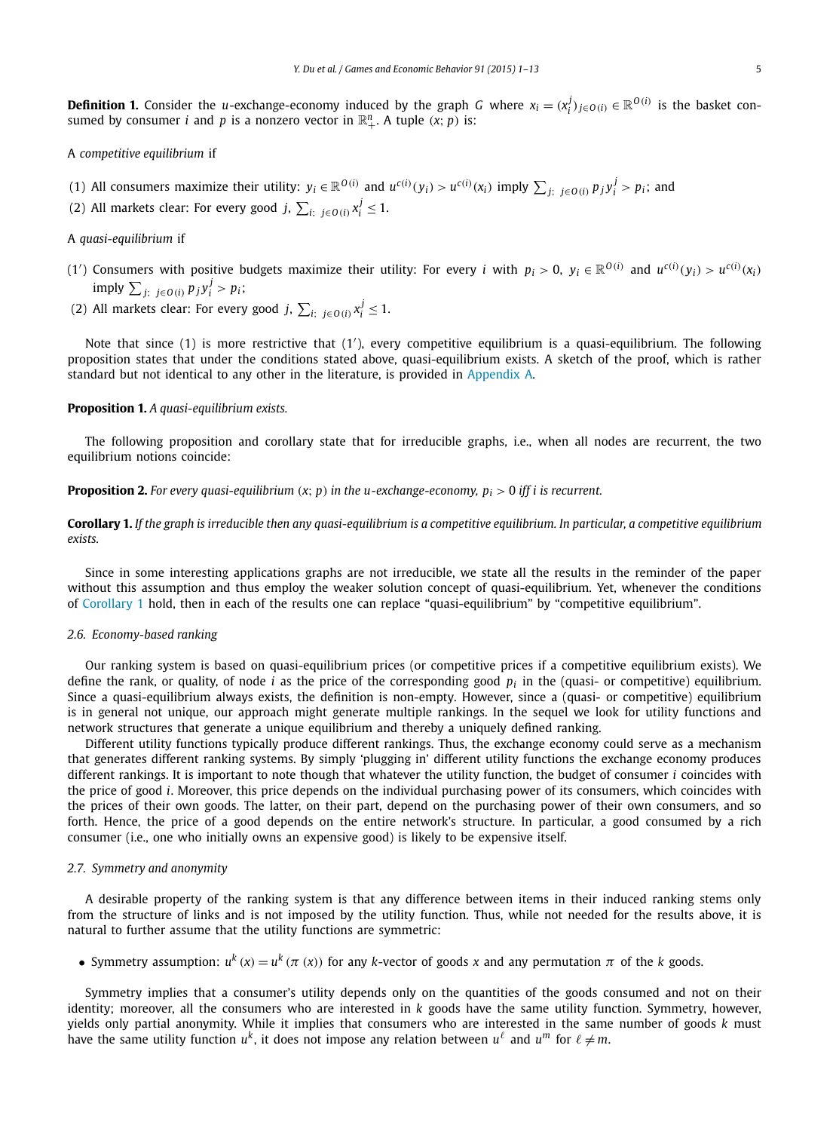<span id="page-4-0"></span>**Definition 1.** Consider the *u*-exchange-economy induced by the graph G where  $x_i = (x_i^j)_{j \in O(i)} \in \mathbb{R}^{O(i)}$  is the basket consumed by consumer *i* and *p* is a nonzero vector in  $\mathbb{R}^n_+$ . A tuple  $(x; p)$  is:

A *competitive equilibrium* if

- (1) All consumers maximize their utility:  $y_i \in \mathbb{R}^{O(i)}$  and  $u^{c(i)}(y_i) > u^{c(i)}(x_i)$  imply  $\sum_{j; j \in O(i)} p_j y_i^j > p_i$ ; and
- (2) All markets clear: For every good *j*,  $\sum_{i; j \in O(i)} x_i^j \leq 1$ .

A *quasi-equilibrium* if

- (1') Consumers with positive budgets maximize their utility: For every *i* with  $p_i>0$ ,  $y_i\in\mathbb{R}^{O(i)}$  and  $u^{c(i)}(y_i)>u^{c(i)}(x_i)$  $\sum_{j; j \in O(i)} p_j y_i^j > p_i;$
- (2) All markets clear: For every good *j*,  $\sum_{i; j \in O(i)} x_i^j \leq 1$ .

Note that since (1) is more restrictive that (1'), every competitive equilibrium is a quasi-equilibrium. The following proposition states that under the conditions stated above, quasi-equilibrium exists. A sketch of the proof, which is rather standard but not identical to any other in the literature, is provided in [Appendix A.](#page-9-0)

#### **Proposition 1.** *A quasi-equilibrium exists.*

The following proposition and corollary state that for irreducible graphs, i.e., when all nodes are recurrent, the two equilibrium notions coincide:

**Proposition 2.** For every quasi-equilibrium  $(x, p)$  in the *u*-exchange-economy,  $p_i > 0$  iff *i* is recurrent.

Corollary 1. If the graph is irreducible then any quasi-equilibrium is a competitive equilibrium. In particular, a competitive equilibrium *exists.*

Since in some interesting applications graphs are not irreducible, we state all the results in the reminder of the paper without this assumption and thus employ the weaker solution concept of quasi-equilibrium. Yet, whenever the conditions of Corollary 1 hold, then in each of the results one can replace "quasi-equilibrium" by "competitive equilibrium".

#### *2.6. Economy-based ranking*

Our ranking system is based on quasi-equilibrium prices (or competitive prices if a competitive equilibrium exists). We define the rank, or quality, of node *i* as the price of the corresponding good *pi* in the (quasi- or competitive) equilibrium. Since a quasi-equilibrium always exists, the definition is non-empty. However, since a (quasi- or competitive) equilibrium is in general not unique, our approach might generate multiple rankings. In the sequel we look for utility functions and network structures that generate a unique equilibrium and thereby a uniquely defined ranking.

Different utility functions typically produce different rankings. Thus, the exchange economy could serve as a mechanism that generates different ranking systems. By simply 'plugging in' different utility functions the exchange economy produces different rankings. It is important to note though that whatever the utility function, the budget of consumer *i* coincides with the price of good *i*. Moreover, this price depends on the individual purchasing power of its consumers, which coincides with the prices of their own goods. The latter, on their part, depend on the purchasing power of their own consumers, and so forth. Hence, the price of a good depends on the entire network's structure. In particular, a good consumed by a rich consumer (i.e., one who initially owns an expensive good) is likely to be expensive itself.

#### *2.7. Symmetry and anonymity*

A desirable property of the ranking system is that any difference between items in their induced ranking stems only from the structure of links and is not imposed by the utility function. Thus, while not needed for the results above, it is natural to further assume that the utility functions are symmetric:

• Symmetry assumption:  $u^k(x) = u^k(\pi(x))$  for any *k*-vector of goods x and any permutation  $\pi$  of the *k* goods.

Symmetry implies that a consumer's utility depends only on the quantities of the goods consumed and not on their identity; moreover, all the consumers who are interested in *k* goods have the same utility function. Symmetry, however, yields only partial anonymity. While it implies that consumers who are interested in the same number of goods *k* must have the same utility function  $u^k$ , it does not impose any relation between  $u^{\ell}$  and  $u^m$  for  $\ell \neq m$ .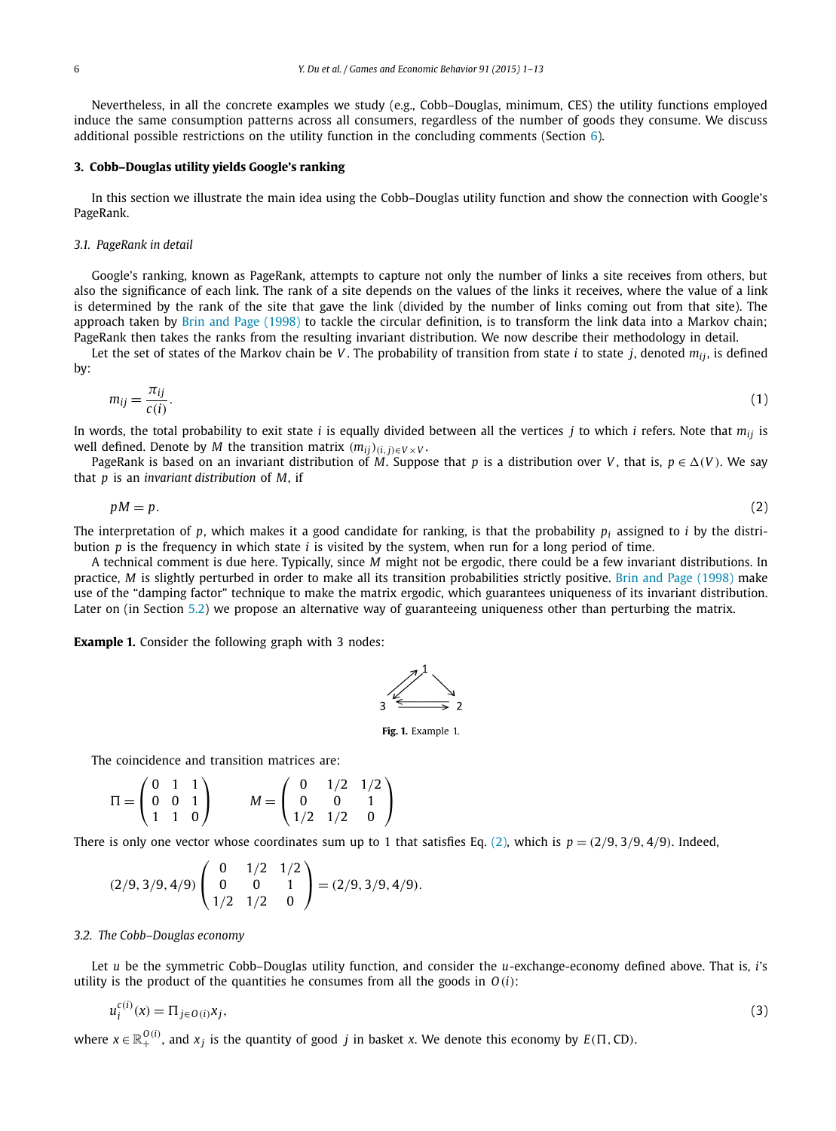<span id="page-5-0"></span>Nevertheless, in all the concrete examples we study (e.g., Cobb–Douglas, minimum, CES) the utility functions employed induce the same consumption patterns across all consumers, regardless of the number of goods they consume. We discuss additional possible restrictions on the utility function in the concluding comments (Section [6\)](#page-9-0).

#### **3. Cobb–Douglas utility yields Google's ranking**

In this section we illustrate the main idea using the Cobb–Douglas utility function and show the connection with Google's PageRank.

#### *3.1. PageRank in detail*

Google's ranking, known as PageRank, attempts to capture not only the number of links a site receives from others, but also the significance of each link. The rank of a site depends on the values of the links it receives, where the value of a link is determined by the rank of the site that gave the link (divided by the number of links coming out from that site). The approach taken by Brin and [Page \(1998\)](#page-11-0) to tackle the circular definition, is to transform the link data into a Markov chain; PageRank then takes the ranks from the resulting invariant distribution. We now describe their methodology in detail.

Let the set of states of the Markov chain be *V* . The probability of transition from state *i* to state *j*, denoted *mij* , is defined by:

$$
m_{ij} = \frac{\pi_{ij}}{c(i)}.\tag{1}
$$

In words, the total probability to exit state *i* is equally divided between all the vertices *j* to which *i* refers. Note that *mij* is well defined. Denote by *M* the transition matrix  $(m_{ij})_{(i,j)\in V\times V}$ .

PageRank is based on an invariant distribution of *M*. Suppose that *p* is a distribution over *V*, that is,  $p \in \Delta(V)$ . We say that *p* is an *invariant distribution* of *M*, if

 $pM = p$ . (2)

The interpretation of *p*, which makes it a good candidate for ranking, is that the probability *pi* assigned to *i* by the distribution *p* is the frequency in which state *i* is visited by the system, when run for a long period of time.

A technical comment is due here. Typically, since *M* might not be ergodic, there could be a few invariant distributions. In practice, *M* is slightly perturbed in order to make all its transition probabilities strictly positive. Brin and [Page \(1998\)](#page-11-0) make use of the "damping factor" technique to make the matrix ergodic, which guarantees uniqueness of its invariant distribution. Later on (in Section [5.2\)](#page-8-0) we propose an alternative way of guaranteeing uniqueness other than perturbing the matrix.

**Example 1.** Consider the following graph with 3 nodes:



**Fig. 1.** Example 1.

The coincidence and transition matrices are:

$$
\Pi = \begin{pmatrix} 0 & 1 & 1 \\ 0 & 0 & 1 \\ 1 & 1 & 0 \end{pmatrix} \qquad M = \begin{pmatrix} 0 & 1/2 & 1/2 \\ 0 & 0 & 1 \\ 1/2 & 1/2 & 0 \end{pmatrix}
$$

There is only one vector whose coordinates sum up to 1 that satisfies Eq. (2), which is  $p = (2/9, 3/9, 4/9)$ . Indeed,

$$
(2/9, 3/9, 4/9)
$$
 $\begin{pmatrix} 0 & 1/2 & 1/2 \\ 0 & 0 & 1 \\ 1/2 & 1/2 & 0 \end{pmatrix}$  =  $(2/9, 3/9, 4/9)$ .

#### *3.2. The Cobb–Douglas economy*

Let *u* be the symmetric Cobb–Douglas utility function, and consider the *u*-exchange-economy defined above. That is, *i*'s utility is the product of the quantities he consumes from all the goods in  $O(i)$ :

$$
u_i^{c(i)}(x) = \Pi_{j \in O(i)} x_j,\tag{3}
$$

where  $x \in \mathbb{R}_+^{\mathbb{O}(i)}$ , and  $x_i$  is the quantity of good *j* in basket *x*. We denote this economy by  $E(\Pi, \text{CD})$ .

$$
(\mathbf{3})
$$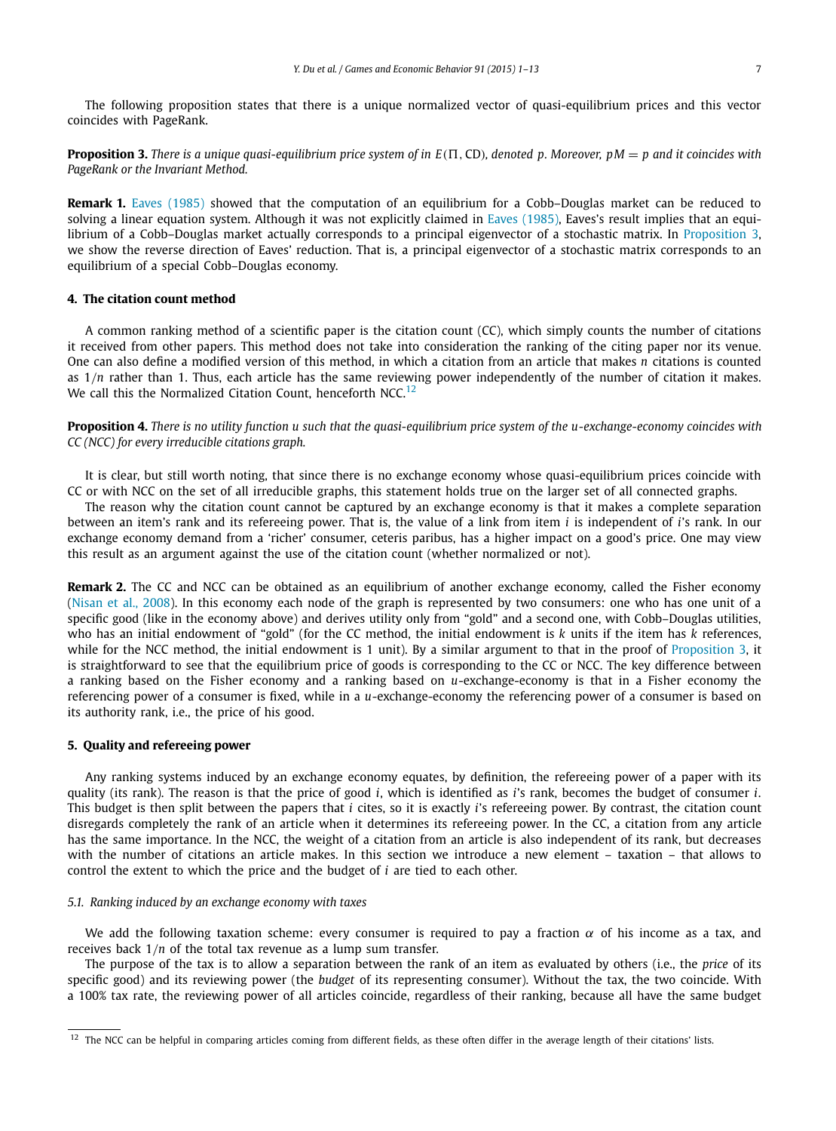<span id="page-6-0"></span>The following proposition states that there is a unique normalized vector of quasi-equilibrium prices and this vector coincides with PageRank.

**Proposition 3.** There is a unique quasi-equilibrium price system of in  $E(\Pi, CD)$ , denoted p. Moreover, pM = p and it coincides with *PageRank or the Invariant Method.*

**Remark 1.** [Eaves \(1985\)](#page-12-0) showed that the computation of an equilibrium for a Cobb–Douglas market can be reduced to solving a linear equation system. Although it was not explicitly claimed in [Eaves \(1985\),](#page-12-0) Eaves's result implies that an equilibrium of a Cobb–Douglas market actually corresponds to a principal eigenvector of a stochastic matrix. In Proposition 3, we show the reverse direction of Eaves' reduction. That is, a principal eigenvector of a stochastic matrix corresponds to an equilibrium of a special Cobb–Douglas economy.

#### **4. The citation count method**

A common ranking method of a scientific paper is the citation count (CC), which simply counts the number of citations it received from other papers. This method does not take into consideration the ranking of the citing paper nor its venue. One can also define a modified version of this method, in which a citation from an article that makes *n* citations is counted as 1*/n* rather than 1. Thus, each article has the same reviewing power independently of the number of citation it makes. We call this the Normalized Citation Count, henceforth NCC.<sup>12</sup>

Proposition 4. There is no utility function u such that the quasi-equilibrium price system of the u-exchange-economy coincides with *CC (NCC) for every irreducible citations graph.*

It is clear, but still worth noting, that since there is no exchange economy whose quasi-equilibrium prices coincide with CC or with NCC on the set of all irreducible graphs, this statement holds true on the larger set of all connected graphs.

The reason why the citation count cannot be captured by an exchange economy is that it makes a complete separation between an item's rank and its refereeing power. That is, the value of a link from item *i* is independent of *i*'s rank. In our exchange economy demand from a 'richer' consumer, ceteris paribus, has a higher impact on a good's price. One may view this result as an argument against the use of the citation count (whether normalized or not).

**Remark 2.** The CC and NCC can be obtained as an equilibrium of another exchange economy, called the Fisher economy [\(Nisan](#page-12-0) et al., 2008). In this economy each node of the graph is represented by two consumers: one who has one unit of a specific good (like in the economy above) and derives utility only from "gold" and a second one, with Cobb–Douglas utilities, who has an initial endowment of "gold" (for the CC method, the initial endowment is *k* units if the item has *k* references, while for the NCC method, the initial endowment is 1 unit). By a similar argument to that in the proof of Proposition 3, it is straightforward to see that the equilibrium price of goods is corresponding to the CC or NCC. The key difference between a ranking based on the Fisher economy and a ranking based on *u*-exchange-economy is that in a Fisher economy the referencing power of a consumer is fixed, while in a *u*-exchange-economy the referencing power of a consumer is based on its authority rank, i.e., the price of his good.

#### **5. Quality and refereeing power**

Any ranking systems induced by an exchange economy equates, by definition, the refereeing power of a paper with its quality (its rank). The reason is that the price of good *i*, which is identified as *i*'s rank, becomes the budget of consumer *i*. This budget is then split between the papers that *i* cites, so it is exactly *i*'s refereeing power. By contrast, the citation count disregards completely the rank of an article when it determines its refereeing power. In the CC, a citation from any article has the same importance. In the NCC, the weight of a citation from an article is also independent of its rank, but decreases with the number of citations an article makes. In this section we introduce a new element – taxation – that allows to control the extent to which the price and the budget of *i* are tied to each other.

#### *5.1. Ranking induced by an exchange economy with taxes*

We add the following taxation scheme: every consumer is required to pay a fraction  $\alpha$  of his income as a tax, and receives back 1*/n* of the total tax revenue as a lump sum transfer.

The purpose of the tax is to allow a separation between the rank of an item as evaluated by others (i.e., the *price* of its specific good) and its reviewing power (the *budget* of its representing consumer). Without the tax, the two coincide. With a 100% tax rate, the reviewing power of all articles coincide, regardless of their ranking, because all have the same budget

<sup>&</sup>lt;sup>12</sup> The NCC can be helpful in comparing articles coming from different fields, as these often differ in the average length of their citations' lists.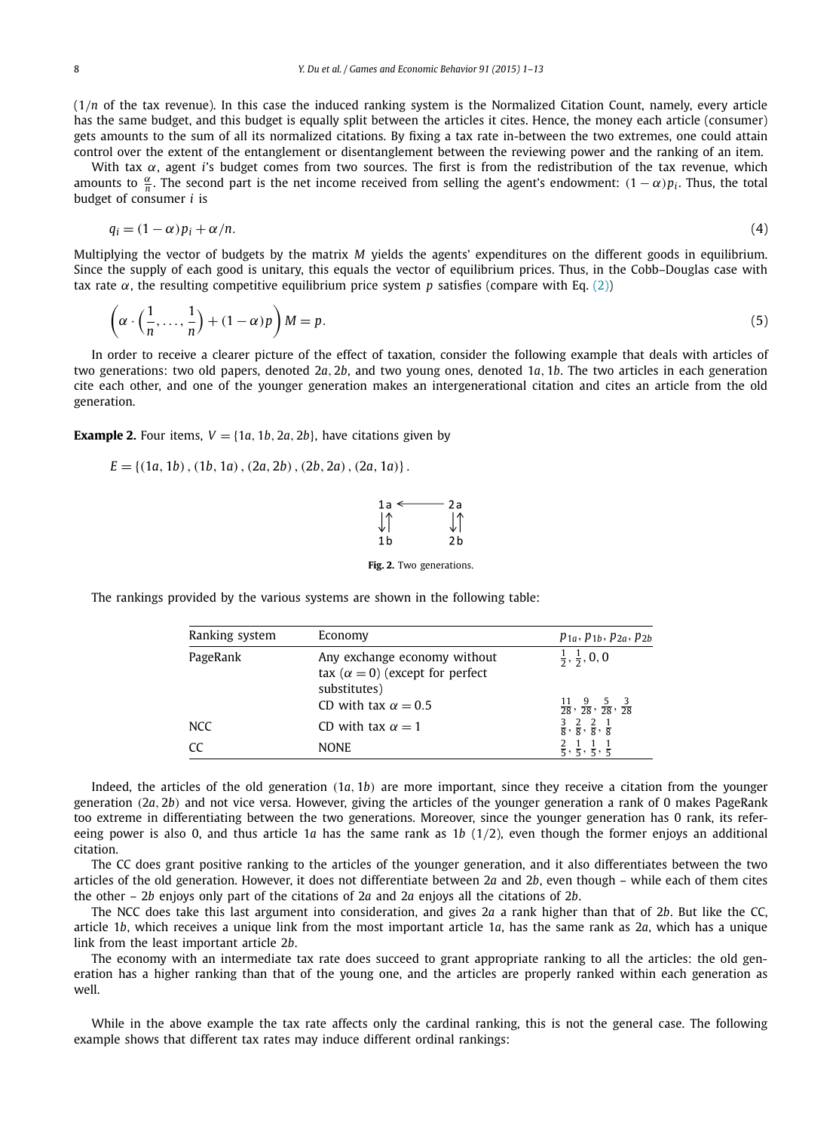<span id="page-7-0"></span>(1*/n* of the tax revenue). In this case the induced ranking system is the Normalized Citation Count, namely, every article has the same budget, and this budget is equally split between the articles it cites. Hence, the money each article (consumer) gets amounts to the sum of all its normalized citations. By fixing a tax rate in-between the two extremes, one could attain control over the extent of the entanglement or disentanglement between the reviewing power and the ranking of an item.

With tax *α*, agent *i*'s budget comes from two sources. The first is from the redistribution of the tax revenue, which amounts to  $\frac{\alpha}{n}$ . The second part is the net income received from selling the agent's endowment:  $(1 - \alpha)p_i$ . Thus, the total budget of consumer *i* is

$$
q_i = (1 - \alpha)p_i + \alpha/n. \tag{4}
$$

Multiplying the vector of budgets by the matrix *M* yields the agents' expenditures on the different goods in equilibrium. Since the supply of each good is unitary, this equals the vector of equilibrium prices. Thus, in the Cobb–Douglas case with tax rate  $\alpha$ , the resulting competitive equilibrium price system *p* satisfies (compare with Eq. [\(2\)\)](#page-5-0)

$$
\left(\alpha \cdot \left(\frac{1}{n}, \dots, \frac{1}{n}\right) + (1 - \alpha)p\right)M = p. \tag{5}
$$

In order to receive a clearer picture of the effect of taxation, consider the following example that deals with articles of two generations: two old papers, denoted 2*a,* 2*b*, and two young ones, denoted 1*a,* 1*b*. The two articles in each generation cite each other, and one of the younger generation makes an intergenerational citation and cites an article from the old generation.

**Example 2.** Four items,  $V = \{1a, 1b, 2a, 2b\}$ , have citations given by

*E* = {*(*1*a,* 1*b),(*1*b,* 1*a),(*2*a,* 2*b),(*2*b,* 2*a),(*2*a,* 1*a)*}*.*



**Fig. 2.** Two generations.

The rankings provided by the various systems are shown in the following table:

| Ranking system | Economy                                                                                | $p_{1a}$ , $p_{1b}$ , $p_{2a}$ , $p_{2b}$                          |
|----------------|----------------------------------------------------------------------------------------|--------------------------------------------------------------------|
| PageRank       | Any exchange economy without<br>tax $(\alpha = 0)$ (except for perfect<br>substitutes) | $\frac{1}{2}$ , $\frac{1}{2}$ , 0, 0                               |
|                | CD with tax $\alpha = 0.5$                                                             | $\frac{11}{28}$ , $\frac{9}{28}$ , $\frac{5}{28}$ , $\frac{3}{28}$ |
| <b>NCC</b>     | CD with tax $\alpha = 1$                                                               | $\frac{3}{8}, \frac{2}{8}, \frac{2}{8}, \frac{1}{8}$               |
| <sub>CC</sub>  | <b>NONE</b>                                                                            | $\frac{2}{5}, \frac{1}{5}, \frac{1}{5}, \frac{1}{5}$               |

Indeed, the articles of the old generation *(*1*a,* 1*b)* are more important, since they receive a citation from the younger generation *(*2*a,* 2*b)* and not vice versa. However, giving the articles of the younger generation a rank of 0 makes PageRank too extreme in differentiating between the two generations. Moreover, since the younger generation has 0 rank, its refereeing power is also 0, and thus article 1*a* has the same rank as 1*b* (1*/*2), even though the former enjoys an additional citation.

The CC does grant positive ranking to the articles of the younger generation, and it also differentiates between the two articles of the old generation. However, it does not differentiate between 2*a* and 2*b*, even though – while each of them cites the other – 2*b* enjoys only part of the citations of 2*a* and 2*a* enjoys all the citations of 2*b*.

The NCC does take this last argument into consideration, and gives 2*a* a rank higher than that of 2*b*. But like the CC, article 1*b*, which receives a unique link from the most important article 1*a*, has the same rank as 2*a*, which has a unique link from the least important article 2*b*.

The economy with an intermediate tax rate does succeed to grant appropriate ranking to all the articles: the old generation has a higher ranking than that of the young one, and the articles are properly ranked within each generation as well.

While in the above example the tax rate affects only the cardinal ranking, this is not the general case. The following example shows that different tax rates may induce different ordinal rankings: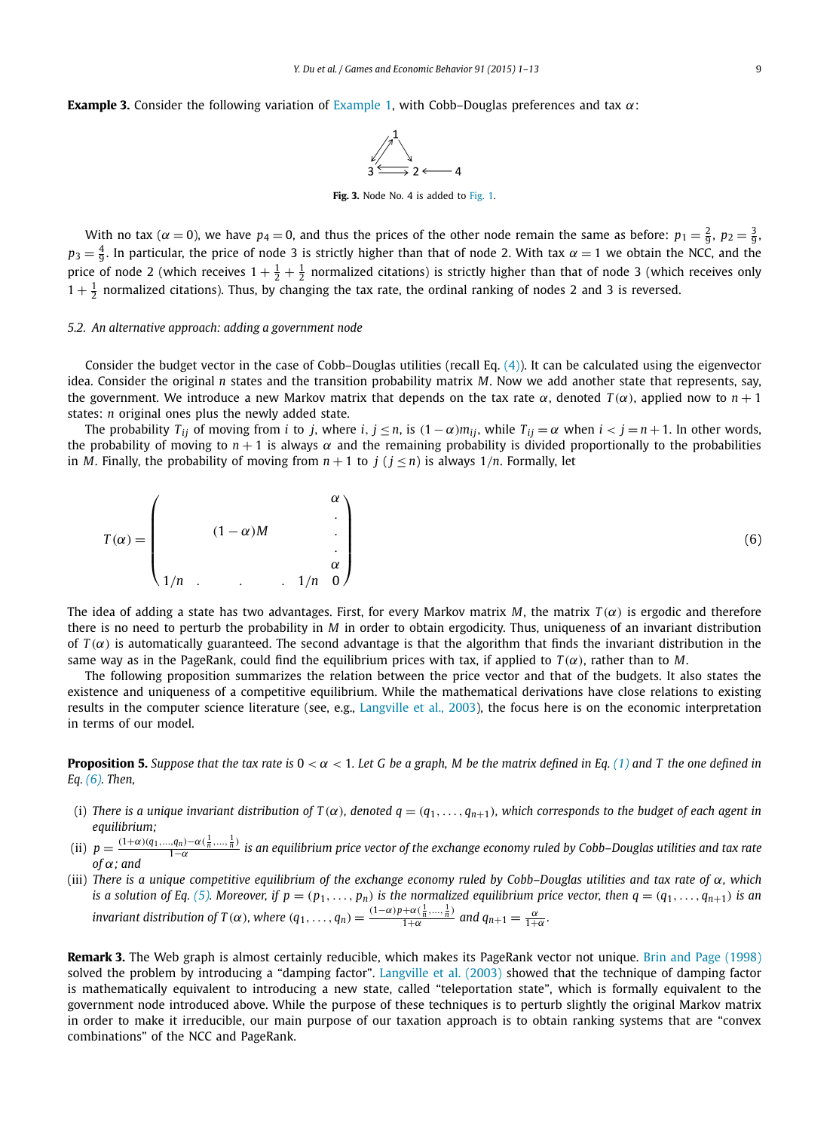<span id="page-8-0"></span>**Example 3.** Consider the following variation of [Example 1,](#page-5-0) with Cobb–Douglas preferences and tax *α*:



**Fig. 3.** Node No. 4 is added to [Fig. 1.](#page-5-0)

With no tax ( $\alpha = 0$ ), we have  $p_4 = 0$ , and thus the prices of the other node remain the same as before:  $p_1 = \frac{2}{9}$ ,  $p_2 = \frac{3}{9}$ ,  $p_3 = \frac{4}{9}$ . In particular, the price of node 3 is strictly higher than that of node 2. With tax  $\alpha = 1$  we obtain the NCC, and the price of node 2 (which receives  $1+\frac{1}{2}+\frac{1}{2}$  normalized citations) is strictly higher than that of node 3 (which receives only  $1+\frac{1}{2}$  normalized citations). Thus, by changing the tax rate, the ordinal ranking of nodes 2 and 3 is reversed.

#### *5.2. An alternative approach: adding a government node*

Consider the budget vector in the case of Cobb–Douglas utilities (recall Eq.  $(4)$ ). It can be calculated using the eigenvector idea. Consider the original *n* states and the transition probability matrix *M*. Now we add another state that represents, say, the government. We introduce a new Markov matrix that depends on the tax rate  $\alpha$ , denoted  $T(\alpha)$ , applied now to  $n+1$ states: *n* original ones plus the newly added state.

The probability  $T_{ij}$  of moving from *i* to *j*, where *i*,  $j \le n$ , is  $(1-\alpha)m_{ij}$ , while  $T_{ij} = \alpha$  when  $i < j = n + 1$ . In other words, the probability of moving to  $n + 1$  is always  $\alpha$  and the remaining probability is divided proportionally to the probabilities in *M*. Finally, the probability of moving from  $n + 1$  to  $j$  ( $j < n$ ) is always  $1/n$ . Formally, let

$$
T(\alpha) = \begin{pmatrix} \alpha \\ \vdots \\ \alpha \\ \alpha \\ 1/n \end{pmatrix}
$$
 (6)

The idea of adding a state has two advantages. First, for every Markov matrix *M*, the matrix *T (α)* is ergodic and therefore there is no need to perturb the probability in *M* in order to obtain ergodicity. Thus, uniqueness of an invariant distribution of  $T(\alpha)$  is automatically guaranteed. The second advantage is that the algorithm that finds the invariant distribution in the same way as in the PageRank, could find the equilibrium prices with tax, if applied to  $T(\alpha)$ , rather than to *M*.

The following proposition summarizes the relation between the price vector and that of the budgets. It also states the existence and uniqueness of a competitive equilibrium. While the mathematical derivations have close relations to existing results in the computer science literature (see, e.g., [Langville](#page-12-0) et al., 2003), the focus here is on the economic interpretation in terms of our model.

**Proposition 5.** Suppose that the tax rate is  $0 < \alpha < 1$ . Let G be a graph, M be the matrix defined in Eq. [\(1\)](#page-5-0) and T the one defined in *Eq. (6). Then,*

- (i) There is a unique invariant distribution of  $T(\alpha)$ , denoted  $q = (q_1, \ldots, q_{n+1})$ , which corresponds to the budget of each agent in *equilibrium;*
- (ii)  $p=\frac{(1+\alpha)(q_1,...,q_n)-\alpha(\frac{1}{n},..., \frac{1}{n})}{1-\alpha}$  is an equilibrium price vector of the exchange economy ruled by Cobb-Douglas utilities and tax rate *of α; and*
- (iii) There is a unique competitive equilibrium of the exchange economy ruled by Cobb-Douglas utilities and tax rate of  $\alpha$ , which is a solution of Eq. [\(5\).](#page-7-0) Moreover, if  $p=(p_1,\ldots,p_n)$  is the normalized equilibrium price vector, then  $q=(q_1,\ldots,q_{n+1})$  is an invariant distribution of T( $\alpha$ ), where  $(q_1,\ldots,q_n) = \frac{(1-\alpha)p + \alpha(\frac{1}{n},\ldots,\frac{1}{n})}{1+\alpha}$  and  $q_{n+1} = \frac{\alpha}{1+\alpha}$ .

**Remark 3.** The Web graph is almost certainly reducible, which makes its PageRank vector not unique. Brin and [Page \(1998\)](#page-11-0) solved the problem by introducing a "damping factor". Langville et [al. \(2003\)](#page-12-0) showed that the technique of damping factor is mathematically equivalent to introducing a new state, called "teleportation state", which is formally equivalent to the government node introduced above. While the purpose of these techniques is to perturb slightly the original Markov matrix in order to make it irreducible, our main purpose of our taxation approach is to obtain ranking systems that are "convex combinations" of the NCC and PageRank.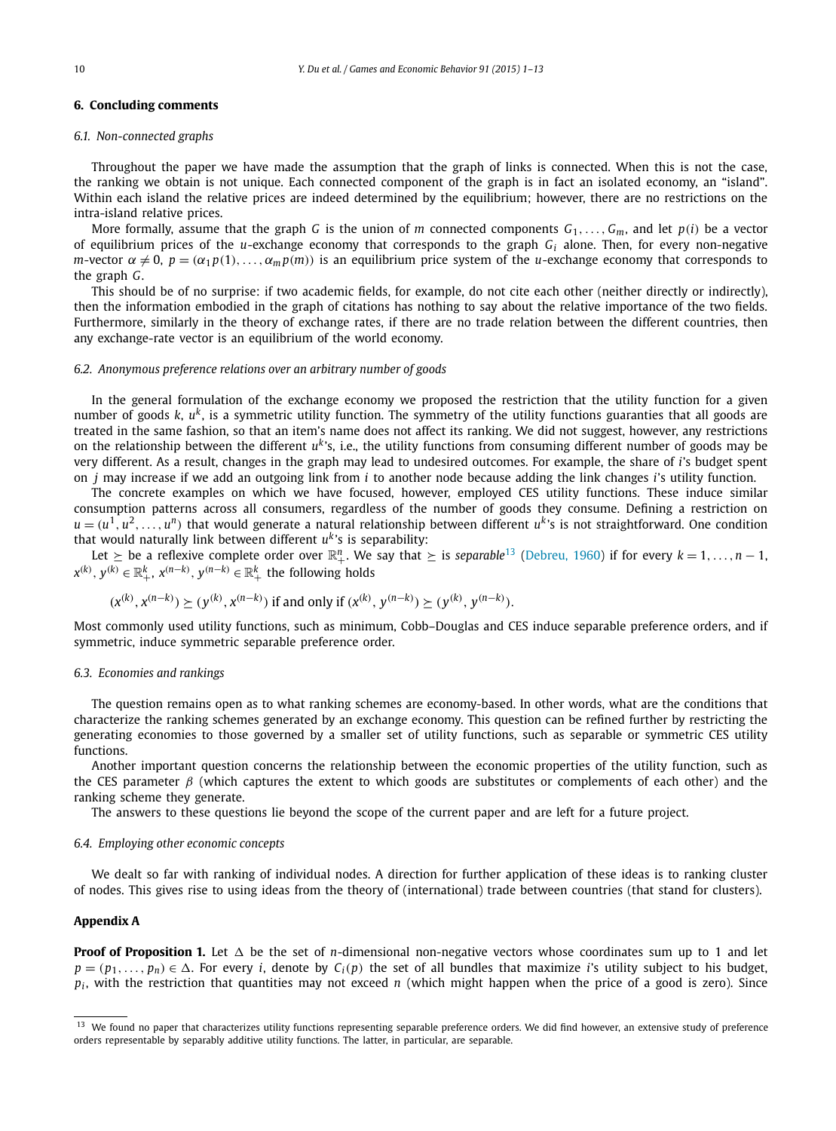#### <span id="page-9-0"></span>**6. Concluding comments**

#### *6.1. Non-connected graphs*

Throughout the paper we have made the assumption that the graph of links is connected. When this is not the case, the ranking we obtain is not unique. Each connected component of the graph is in fact an isolated economy, an "island". Within each island the relative prices are indeed determined by the equilibrium; however, there are no restrictions on the intra-island relative prices.

More formally, assume that the graph *G* is the union of *m* connected components  $G_1, \ldots, G_m$ , and let  $p(i)$  be a vector of equilibrium prices of the *u*-exchange economy that corresponds to the graph *Gi* alone. Then, for every non-negative *m*-vector  $\alpha \neq 0$ ,  $p = (\alpha_1 p(1), \dots, \alpha_m p(m))$  is an equilibrium price system of the *u*-exchange economy that corresponds to the graph *G*.

This should be of no surprise: if two academic fields, for example, do not cite each other (neither directly or indirectly), then the information embodied in the graph of citations has nothing to say about the relative importance of the two fields. Furthermore, similarly in the theory of exchange rates, if there are no trade relation between the different countries, then any exchange-rate vector is an equilibrium of the world economy.

#### *6.2. Anonymous preference relations over an arbitrary number of goods*

In the general formulation of the exchange economy we proposed the restriction that the utility function for a given number of goods *k*, *uk*, is a symmetric utility function. The symmetry of the utility functions guaranties that all goods are treated in the same fashion, so that an item's name does not affect its ranking. We did not suggest, however, any restrictions on the relationship between the different *uk*'s, i.e., the utility functions from consuming different number of goods may be very different. As a result, changes in the graph may lead to undesired outcomes. For example, the share of *i*'s budget spent on *j* may increase if we add an outgoing link from *i* to another node because adding the link changes *i*'s utility function.

The concrete examples on which we have focused, however, employed CES utility functions. These induce similar consumption patterns across all consumers, regardless of the number of goods they consume. Defining a restriction on  $u = (u^1, u^2, \ldots, u^n)$  that would generate a natural relationship between different  $u^k$ 's is not straightforward. One condition that would naturally link between different  $u^k$ 's is separability:

Let  $\succeq$  be a reflexive complete order over  $\mathbb{R}^n_+$ . We say that  $\succeq$  is *separable*<sup>13</sup> [\(Debreu,](#page-11-0) 1960) if for every  $k=1,\ldots,n-1,$ *x*<sup>(*k*</sup>)</sub>,  $y^{(k)} \in \mathbb{R}^k_+$ ,  $x^{(n-k)}$ ,  $y^{(n-k)} \in \mathbb{R}^k_+$  the following holds

$$
(x^{(k)}, x^{(n-k)}) \succeq (y^{(k)}, x^{(n-k)})
$$
 if and only if  $(x^{(k)}, y^{(n-k)}) \succeq (y^{(k)}, y^{(n-k)})$ .

Most commonly used utility functions, such as minimum, Cobb–Douglas and CES induce separable preference orders, and if symmetric, induce symmetric separable preference order.

#### *6.3. Economies and rankings*

The question remains open as to what ranking schemes are economy-based. In other words, what are the conditions that characterize the ranking schemes generated by an exchange economy. This question can be refined further by restricting the generating economies to those governed by a smaller set of utility functions, such as separable or symmetric CES utility functions.

Another important question concerns the relationship between the economic properties of the utility function, such as the CES parameter *β* (which captures the extent to which goods are substitutes or complements of each other) and the ranking scheme they generate.

The answers to these questions lie beyond the scope of the current paper and are left for a future project.

#### *6.4. Employing other economic concepts*

We dealt so far with ranking of individual nodes. A direction for further application of these ideas is to ranking cluster of nodes. This gives rise to using ideas from the theory of (international) trade between countries (that stand for clusters).

#### **Appendix A**

**Proof of Proposition 1.** Let  $\Delta$  be the set of *n*-dimensional non-negative vectors whose coordinates sum up to 1 and let  $p = (p_1, \ldots, p_n) \in \Delta$ . For every *i*, denote by  $C_i(p)$  the set of all bundles that maximize *i*'s utility subject to his budget, *pi* , with the restriction that quantities may not exceed *n* (which might happen when the price of a good is zero). Since

<sup>&</sup>lt;sup>13</sup> We found no paper that characterizes utility functions representing separable preference orders. We did find however, an extensive study of preference orders representable by separably additive utility functions. The latter, in particular, are separable.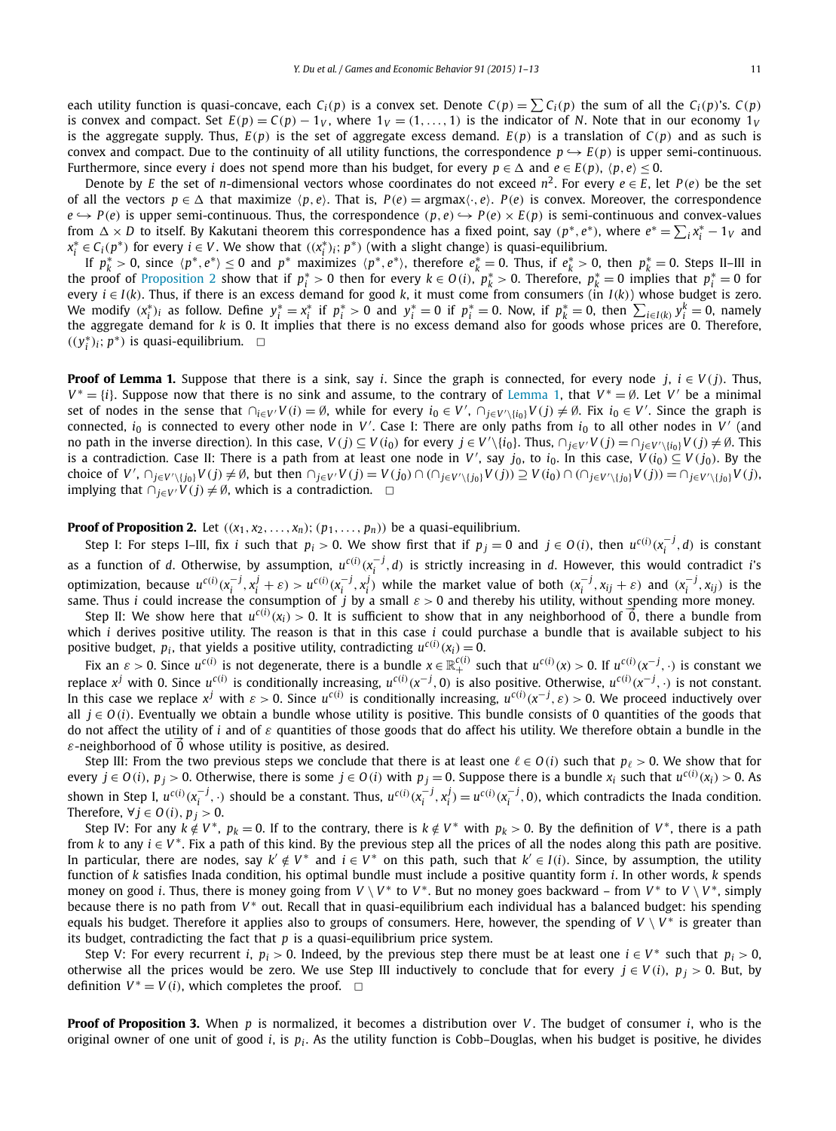each utility function is quasi-concave, each  $C_i(p)$  is a convex set. Denote  $C(p) = \sum C_i(p)$  the sum of all the  $C_i(p)$ 's.  $C(p)$ is convex and compact. Set  $E(p) = C(p) - 1<sub>V</sub>$ , where  $1<sub>V</sub> = (1, \ldots, 1)$  is the indicator of *N*. Note that in our economy  $1<sub>V</sub>$ is the aggregate supply. Thus,  $E(p)$  is the set of aggregate excess demand.  $E(p)$  is a translation of  $C(p)$  and as such is convex and compact. Due to the continuity of all utility functions, the correspondence  $p \leftrightarrow E(p)$  is upper semi-continuous. Furthermore, since every *i* does not spend more than his budget, for every  $p \in \Delta$  and  $e \in E(p)$ ,  $\langle p, e \rangle \le 0$ .

Denote by *E* the set of *n*-dimensional vectors whose coordinates do not exceed  $n^2$ . For every  $e \in E$ , let  $P(e)$  be the set of all the vectors  $p \in \Delta$  that maximize  $\langle p, e \rangle$ . That is,  $P(e) = \argmax(\cdot, e)$ .  $P(e)$  is convex. Moreover, the correspondence  $e \rightarrow P(e)$  is upper semi-continuous. Thus, the correspondence  $(p, e) \rightarrow P(e) \times E(p)$  is semi-continuous and convex-values from  $\Delta \times D$  to itself. By Kakutani theorem this correspondence has a fixed point, say  $(p^*, e^*)$ , where  $e^* = \sum_i x_i^* - 1_V$  and *x*<sup>\*</sup><sub>*i*</sub> ∈ *C*<sub>*i*</sub>(*p*<sup>\*</sup>) for every *i* ∈ *V*. We show that  $((x_i^*)_i; p^*)$  (with a slight change) is quasi-equilibrium.

If  $p_k^* > 0$ , since  $\langle p^*, e^* \rangle \le 0$  and  $p^*$  maximizes  $\langle p^*, e^* \rangle$ , therefore  $e_k^* = 0$ . Thus, if  $e_k^* > 0$ , then  $p_k^* = 0$ . Steps II-III in the proof of [Proposition 2](#page-4-0) show that if  $p_i^* > 0$  then for every  $k \in O(i)$ ,  $p_k^* > 0$ . Therefore,  $p_k^* = 0$  implies that  $p_i^* = 0$  for every  $i \in I(k)$ . Thus, if there is an excess demand for good *k*, it must come from consumers (in  $I(k)$ ) whose budget is zero. We modify  $(x_i^*)_i$  as follow. Define  $y_i^* = x_i^*$  if  $p_i^* > 0$  and  $y_i^* = 0$  if  $p_i^* = 0$ . Now, if  $p_k^* = 0$ , then  $\sum_{i \in I(k)} y_i^k = 0$ , namely the aggregate demand for k is 0. It implies that there is no excess demand also  $((y_i^*)_i; p^*)$  is quasi-equilibrium. **□** 

**Proof of Lemma 1.** Suppose that there is a sink, say *i*. Since the graph is connected, for every node *j*,  $i \in V(j)$ . Thus,  $V^* = \{i\}$ . Suppose now that there is no sink and assume, to the contrary of [Lemma 1,](#page-3-0) that  $V^* = \emptyset$ . Let *V'* be a minimal set of nodes in the sense that  $\bigcap_{i\in V'}V(i)=\emptyset$ , while for every  $i_0\in V'$ ,  $\bigcap_{j\in V'\setminus\{i_0\}}V(j)\neq\emptyset$ . Fix  $i_0\in V'$ . Since the graph is connected, *i*<sub>0</sub> is connected to every other node in *V'*. Case I: There are only paths from *i*<sub>0</sub> to all other nodes in *V'* (and no path in the inverse direction). In this case,  $V(j) \subseteq V(i_0)$  for every  $j \in V' \setminus \{i_0\}$ . Thus,  $\cap_{j \in V'} V(j) = \cap_{j \in V' \setminus \{i_0\}} V(j) \neq \emptyset$ . This is a contradiction. Case II: There is a path from at least one node in  $V'$ , say  $j_0$ , to  $i_0$ . In this case,  $\breve{V}(i_0)\subseteq V(j_0).$  By the choice of V',  $\cap_{j\in V'\setminus\{j_0\}}V(j)\neq\emptyset$ , but then  $\cap_{j\in V'}V(j)=V(j_0)\cap(\cap_{j\in V'\setminus\{j_0\}}V(j))\supseteq V(i_0)\cap(\cap_{j\in V'\setminus\{j_0\}}V(j))=\cap_{j\in V'\setminus\{j_0\}}V(j)$ implying that  $\cap_{i \in V'} V(j) \neq \emptyset$ , which is a contradiction.  $□$ 

#### **Proof of Proposition 2.** Let  $((x_1, x_2, \ldots, x_n); (p_1, \ldots, p_n))$  be a quasi-equilibrium.

Step I: For steps I–III, fix *i* such that  $p_i > 0$ . We show first that if  $p_j = 0$  and  $j \in O(i)$ , then  $u^{c(i)}(x_i^{-j}, d)$  is constant as a function of d. Otherwise, by assumption,  $u^{c(i)}(x_i^{-j},d)$  is strictly increasing in d. However, this would contradict *i*'s optimization, because  $u^{c(i)}(x_i^{-j},x_i^j+\varepsilon) > u^{c(i)}(x_i^{-j},x_i^j)$  while the market value of both  $(x_i^{-j},x_{ij}+\varepsilon)$  and  $(x_i^{-j},x_{ij})$  is the same. Thus *i* could increase the consumption of *j* by a small *ε >* 0 and thereby his utility, without spending more money.

Step II: We show here that  $u^{c(i)}(x_i) > 0$ . It is sufficient to show that in any neighborhood of  $\vec{0}$ , there a bundle from which *i* derives positive utility. The reason is that in this case *i* could purchase a bundle that is available subject to his positive budget,  $p_i$ , that yields a positive utility, contradicting  $u^{c(i)}(x_i) = 0$ .

Fix an  $\varepsilon > 0$ . Since  $u^{c(i)}$  is not degenerate, there is a bundle  $x \in \mathbb{R}^{c(i)}_+$  such that  $u^{c(i)}(x) > 0$ . If  $u^{c(i)}(x^{-j},\cdot)$  is constant we replace  $x^j$  with 0. Since  $u^{c(i)}$  is conditionally increasing,  $u^{c(i)}(x^{-j},0)$  is also positive. Otherwise,  $u^{c(i)}(x^{-j},\cdot)$  is not constant. In this case we replace  $x^j$  with  $\varepsilon > 0$ . Since  $u^{c(i)}$  is conditionally increasing,  $u^{c(i)}(x^{-j},\varepsilon) > 0$ . We proceed inductively over all  $j \in O(i)$ . Eventually we obtain a bundle whose utility is positive. This bundle consists of 0 quantities of the goods that do not affect the utility of *i* and of *ε* quantities of those goods that do affect his utility. We therefore obtain a bundle in the  $\varepsilon$ -neighborhood of  $\vec{0}$  whose utility is positive, as desired.

Step III: From the two previous steps we conclude that there is at least one  $\ell \in O(i)$  such that  $p_{\ell} > 0$ . We show that for every  $j\in O(i)$ ,  $p_j>0$ . Otherwise, there is some  $j\in O(i)$  with  $p_j=0$ . Suppose there is a bundle  $x_i$  such that  $u^{c(i)}(x_i)>0$ . As shown in Step I,  $u^{c(i)}(x_i^{-j},\cdot)$  should be a constant. Thus,  $u^{c(i)}(x_i^{-j},x_i^j)=u^{c(i)}(x_i^{-j},0)$ , which contradicts the Inada condition. Therefore,  $\forall j \in O(i)$ ,  $p_j > 0$ .

Step IV: For any  $k \notin V^*$ ,  $p_k = 0$ . If to the contrary, there is  $k \notin V^*$  with  $p_k > 0$ . By the definition of  $V^*$ , there is a path from *k* to any  $i \in V^*$ . Fix a path of this kind. By the previous step all the prices of all the nodes along this path are positive. In particular, there are nodes, say  $k' \notin V^*$  and  $i \in V^*$  on this path, such that  $k' \in I(i)$ . Since, by assumption, the utility function of *k* satisfies Inada condition, his optimal bundle must include a positive quantity form *i*. In other words, *k* spends money on good *i*. Thus, there is money going from  $V \setminus V^*$  to  $V^*$ . But no money goes backward – from  $V^*$  to  $V \setminus V^*$ , simply because there is no path from *V* <sup>∗</sup> out. Recall that in quasi-equilibrium each individual has a balanced budget: his spending equals his budget. Therefore it applies also to groups of consumers. Here, however, the spending of  $V \setminus V^*$  is greater than its budget, contradicting the fact that *p* is a quasi-equilibrium price system.

Step V: For every recurrent *i*,  $p_i > 0$ . Indeed, by the previous step there must be at least one  $i \in V^*$  such that  $p_i > 0$ , otherwise all the prices would be zero. We use Step III inductively to conclude that for every  $j \in V(i)$ ,  $p_j > 0$ . But, by definition  $V^* = V(i)$ , which completes the proof.  $\Box$ 

**Proof of Proposition 3.** When *p* is normalized, it becomes a distribution over *V* . The budget of consumer *i*, who is the original owner of one unit of good *i*, is *pi*. As the utility function is Cobb–Douglas, when his budget is positive, he divides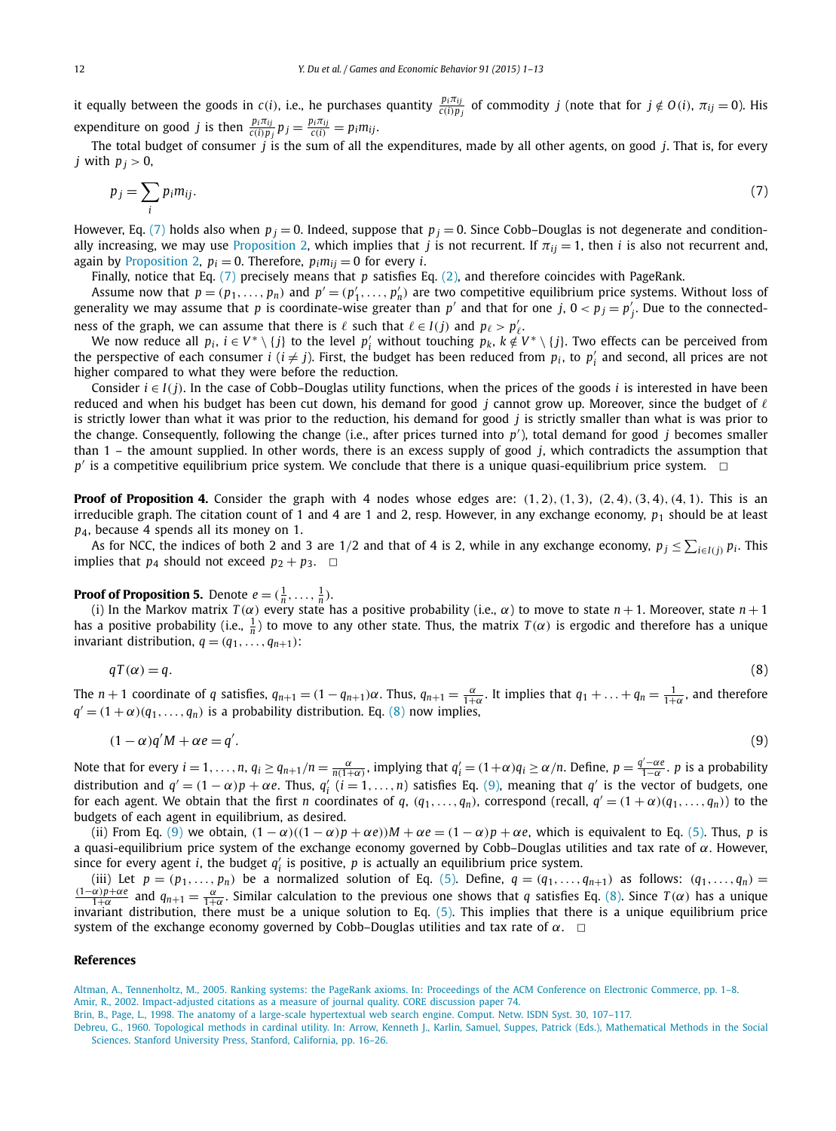<span id="page-11-0"></span>it equally between the goods in  $c(i)$ , i.e., he purchases quantity  $\frac{p_i\pi_{ij}}{c(i)p_j}$  of commodity j (note that for  $j \notin O(i)$ ,  $\pi_{ij} = 0$ ). His expenditure on good *j* is then  $\frac{p_i \pi_{ij}}{c(i)p_j} p_j = \frac{p_i \pi_{ij}}{c(i)} = p_i m_{ij}$ .

The total budget of consumer  $\hat{j}$  is the sum of all the expenditures, made by all other agents, on good  $\hat{j}$ . That is, for every *j* with  $p_i > 0$ ,

$$
p_j = \sum_i p_i m_{ij}.\tag{7}
$$

However, Eq. (7) holds also when  $p_j = 0$ . Indeed, suppose that  $p_j = 0$ . Since Cobb–Douglas is not degenerate and condition-ally increasing, we may use [Proposition 2,](#page-4-0) which implies that *j* is not recurrent. If  $\pi_{ii} = 1$ , then *i* is also not recurrent and, again by [Proposition 2,](#page-4-0)  $p_i = 0$ . Therefore,  $p_i m_{ij} = 0$  for every *i*.

Finally, notice that Eq. (7) precisely means that *p* satisfies Eq. [\(2\),](#page-5-0) and therefore coincides with PageRank.

Assume now that  $p = (p_1, \ldots, p_n)$  and  $p' = (p'_1, \ldots, p'_n)$  are two competitive equilibrium price systems. Without loss of generality we may assume that *p* is coordinate-wise greater than *p'* and that for one *j*,  $0 < p_j = p'_j$ . Due to the connectedness of the graph, we can assume that there is  $\ell$  such that  $\ell \in I(j)$  and  $p_{\ell} > p'_{\ell}$ .

We now reduce all  $p_i$ ,  $i \in V^* \setminus \{j\}$  to the level  $p'_i$  without touching  $p_k$ ,  $k \notin V^* \setminus \{j\}$ . Two effects can be perceived from the perspective of each consumer *i* ( $i \neq j$ ). First, the budget has been reduced from  $p_i$ , to  $p'_i$  and second, all prices are not higher compared to what they were before the reduction.

Consider  $i \in I(i)$ . In the case of Cobb–Douglas utility functions, when the prices of the goods *i* is interested in have been reduced and when his budget has been cut down, his demand for good  $j$  cannot grow up. Moreover, since the budget of  $\ell$ is strictly lower than what it was prior to the reduction, his demand for good *j* is strictly smaller than what is was prior to the change. Consequently, following the change (i.e., after prices turned into *p* ), total demand for good *j* becomes smaller than 1 – the amount supplied. In other words, there is an excess supply of good *j*, which contradicts the assumption that  $p'$  is a competitive equilibrium price system. We conclude that there is a unique quasi-equilibrium price system.

**Proof of Proposition 4.** Consider the graph with 4 nodes whose edges are:  $(1, 2), (1, 3), (2, 4), (3, 4), (4, 1)$ . This is an irreducible graph. The citation count of 1 and 4 are 1 and 2, resp. However, in any exchange economy,  $p_1$  should be at least *p*4, because 4 spends all its money on 1.

As for NCC, the indices of both 2 and 3 are 1/2 and that of 4 is 2, while in any exchange economy,  $p_j \leq \sum_{i\in I(j)} p_i$ . This implies that  $p_4$  should not exceed  $p_2 + p_3$ .  $\Box$ 

## **Proof of Proposition 5.** Denote  $e = (\frac{1}{n}, \ldots, \frac{1}{n})$ .

(i) In the Markov matrix  $T(\alpha)$  every state has a positive probability (i.e.,  $\alpha$ ) to move to state  $n+1$ . Moreover, state  $n+1$ has a positive probability (i.e.,  $\frac{1}{n}$ ) to move to any other state. Thus, the matrix  $T(\alpha)$  is ergodic and therefore has a unique invariant distribution,  $q = (q_1, \ldots, q_{n+1})$ :

$$
qT(\alpha) = q.\tag{8}
$$

The  $n+1$  coordinate of *q* satisfies,  $q_{n+1} = (1-q_{n+1})\alpha$ . Thus,  $q_{n+1} = \frac{\alpha}{1+\alpha}$ . It implies that  $q_1 + \ldots + q_n = \frac{1}{1+\alpha}$ , and therefore  $q' = (1 + \alpha)(q_1, \ldots, q_n)$  is a probability distribution. Eq. (8) now implies,

$$
(1 - \alpha)q'M + \alpha e = q'.\tag{9}
$$

Note that for every  $i=1,\ldots,n$ ,  $q_i\geq q_{n+1}/n=\frac{\alpha}{n(1+\alpha)}$ , implying that  $q'_i=(1+\alpha)q_i\geq \alpha/n$ . Define,  $p=\frac{q'-\alpha e}{1-\alpha}$ . p is a probability distribution and  $q' = (1 - \alpha)p + \alpha e$ . Thus,  $q'_i$  ( $i = 1, ..., n$ ) satisfies Eq. (9), meaning that  $q'$  is the vector of budgets, one for each agent. We obtain that the first *n* coordinates of *q*,  $(q_1, \ldots, q_n)$ , correspond (recall,  $q' = (1 + \alpha)(q_1, \ldots, q_n)$ ) to the budgets of each agent in equilibrium, as desired.

(ii) From Eq. (9) we obtain,  $(1 - \alpha)(1 - \alpha)p + \alpha e$ ) $M + \alpha e = (1 - \alpha)p + \alpha e$ , which is equivalent to Eq. [\(5\).](#page-7-0) Thus, p is a quasi-equilibrium price system of the exchange economy governed by Cobb–Douglas utilities and tax rate of *α*. However, since for every agent *i*, the budget  $q'_i$  is positive,  $p$  is actually an equilibrium price system.

(iii) Let  $p = (p_1, \ldots, p_n)$  be a normalized solution of Eq. [\(5\).](#page-7-0) Define,  $q = (q_1, \ldots, q_{n+1})$  as follows:  $(q_1, \ldots, q_n)$  $\frac{\alpha}{1+\alpha}$  and  $q_{n+1} = \frac{\alpha}{1+\alpha}$ . Similar calculation to the previous one shows that *q* satisfies Eq. (8). Since *T*( $\alpha$ ) has a unique invariant distribution, there must be a unique solution to Eq. [\(5\).](#page-7-0) This implies that there is a unique equilibrium price system of the exchange economy governed by Cobb–Douglas utilities and tax rate of  $\alpha$ .  $\Box$ 

#### **References**

Altman, A., [Tennenholtz,](http://refhub.elsevier.com/S0899-8256(15)00046-9/bib41543038s1) M., 2005. Ranking systems: the PageRank axioms. In: Proceedings of the ACM Conference on Electronic Commerce, pp. 1–8. Amir, R., 2002. [Impact-adjusted](http://refhub.elsevier.com/S0899-8256(15)00046-9/bib416D69723032s1) citations as a measure of journal quality. CORE discussion paper 74.

Brin, B., Page, L., 1998. The anatomy of a large-scale [hypertextual](http://refhub.elsevier.com/S0899-8256(15)00046-9/bib4272696E50616765s1) web search engine. Comput. Netw. ISDN Syst. 30, 107–117.

Debreu, G., 1960. Topological methods in cardinal utility. In: Arrow, Kenneth J., Karlin, Samuel, Suppes, Patrick (Eds.), [Mathematical](http://refhub.elsevier.com/S0899-8256(15)00046-9/bib4465627265753630s1) Methods in the Social Sciences. Stanford University Press, Stanford, California, [pp. 16–26.](http://refhub.elsevier.com/S0899-8256(15)00046-9/bib4465627265753630s1)